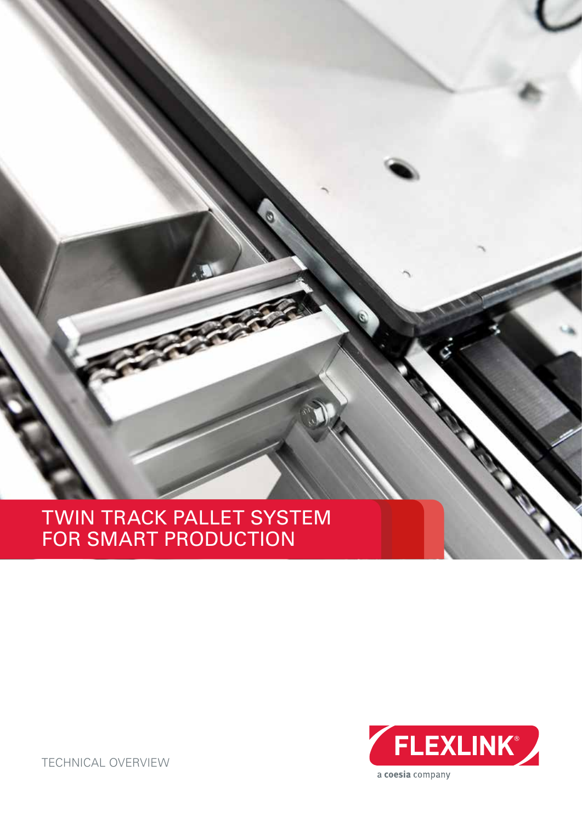# TWIN TRACK PALLET SYSTEM FOR SMART PRODUCTION



TECHNICAL OVERVIEW

a coesia company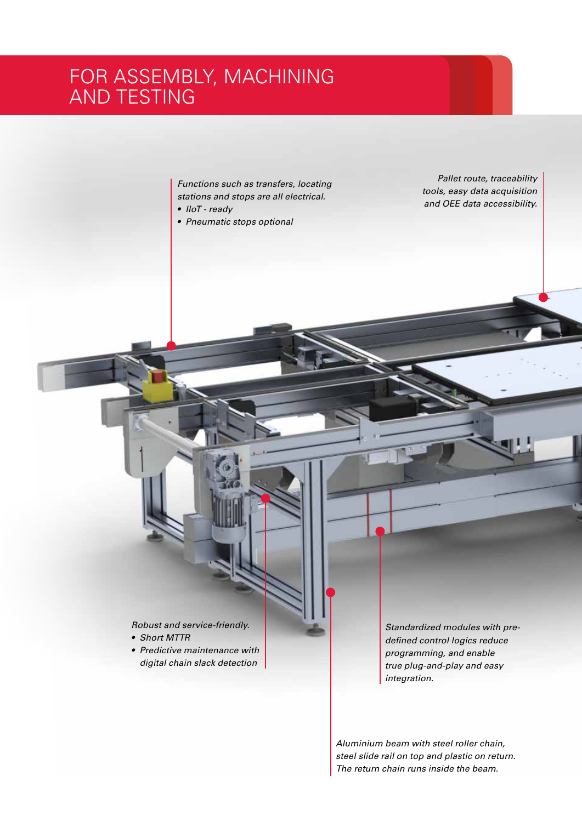# FOR ASSEMBLY, MACHINING AND TESTING

*Functions such as transfers, locating stations and stops are all electrical.*

- *• IIoT ready*
- *• Pneumatic stops optional*

*Pallet route, traceability tools, easy data acquisition and OEE data accessibility.*

*Robust and service-friendly.*

- *• Short MTTR*
- *• Predictive maintenance with digital chain slack detection*

*Standardized modules with predefined control logics reduce programming, and enable true plug-and-play and easy integration.*

*Aluminium beam with steel roller chain, steel slide rail on top and plastic on return. The return chain runs inside the beam.*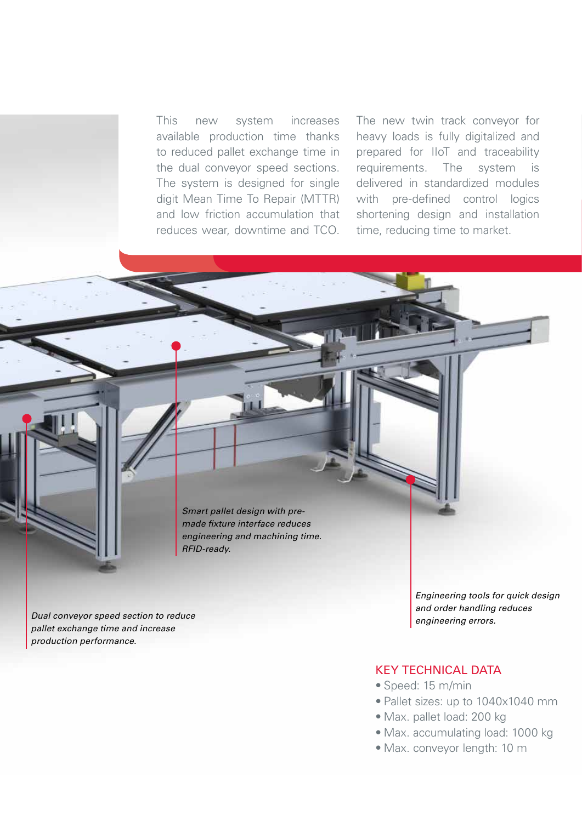This new system increases available production time thanks to reduced pallet exchange time in the dual conveyor speed sections. The system is designed for single digit Mean Time To Repair (MTTR) and low friction accumulation that reduces wear, downtime and TCO.

The new twin track conveyor for heavy loads is fully digitalized and prepared for IIoT and traceability requirements. The system is delivered in standardized modules with pre-defined control logics shortening design and installation time, reducing time to market.

*Smart pallet design with premade fixture interface reduces engineering and machining time. RFID-ready.*

*Dual conveyor speed section to reduce pallet exchange time and increase production performance.*

*Engineering tools for quick design and order handling reduces engineering errors.*

### KEY TECHNICAL DATA

- Speed: 15 m/min
- Pallet sizes: up to 1040x1040 mm
- Max. pallet load: 200 kg
- Max. accumulating load: 1000 kg
- Max. conveyor length: 10 m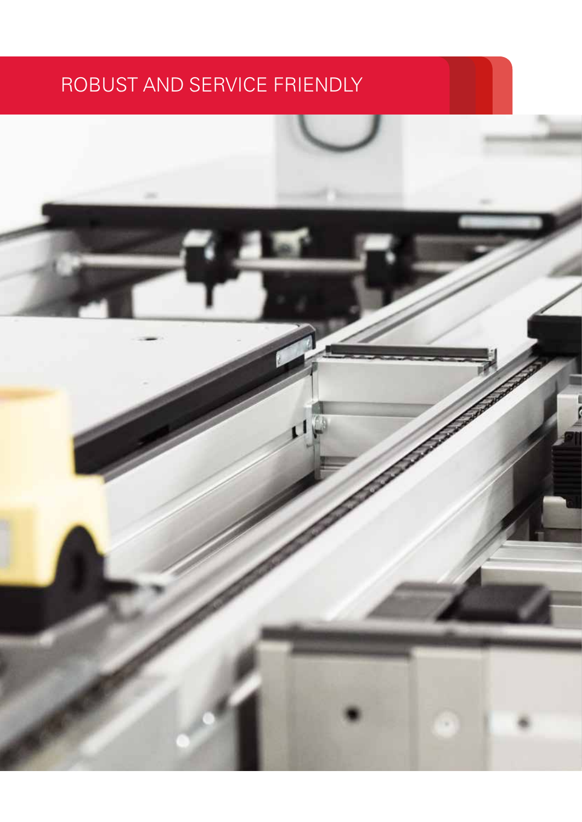# ROBUST AND SERVICE FRIENDLY

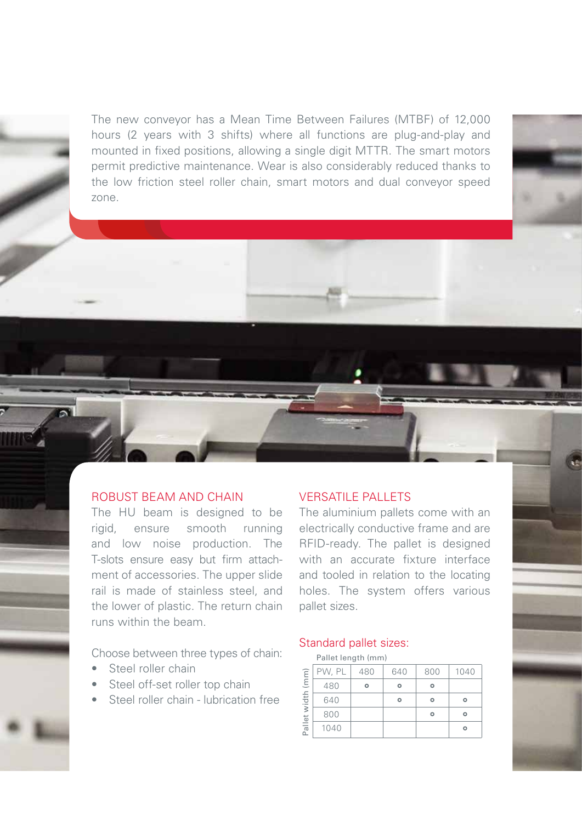The new conveyor has a Mean Time Between Failures (MTBF) of 12,000 hours (2 years with 3 shifts) where all functions are plug-and-play and mounted in fixed positions, allowing a single digit MTTR. The smart motors permit predictive maintenance. Wear is also considerably reduced thanks to the low friction steel roller chain, smart motors and dual conveyor speed zone.



The HU beam is designed to be rigid, ensure smooth running and low noise production. The T-slots ensure easy but firm attachment of accessories. The upper slide rail is made of stainless steel, and the lower of plastic. The return chain runs within the beam.

Choose between three types of chain:

- Steel roller chain
- Steel off-set roller top chain
- Steel roller chain lubrication free

### VERSATILE PALLETS

The aluminium pallets come with an electrically conductive frame and are RFID-ready. The pallet is designed with an accurate fixture interface and tooled in relation to the locating holes. The system offers various pallet sizes.

### Standard pallet sizes:

|                      | Pallet length (mm) |     |     |     |      |
|----------------------|--------------------|-----|-----|-----|------|
| (mm)<br>Pallet width | PW, PL             | 480 | 640 | 800 | 1040 |
|                      | 480                |     |     |     |      |
|                      | 640                |     |     |     |      |
|                      | 800                |     |     |     |      |
|                      | 1040               |     |     |     |      |

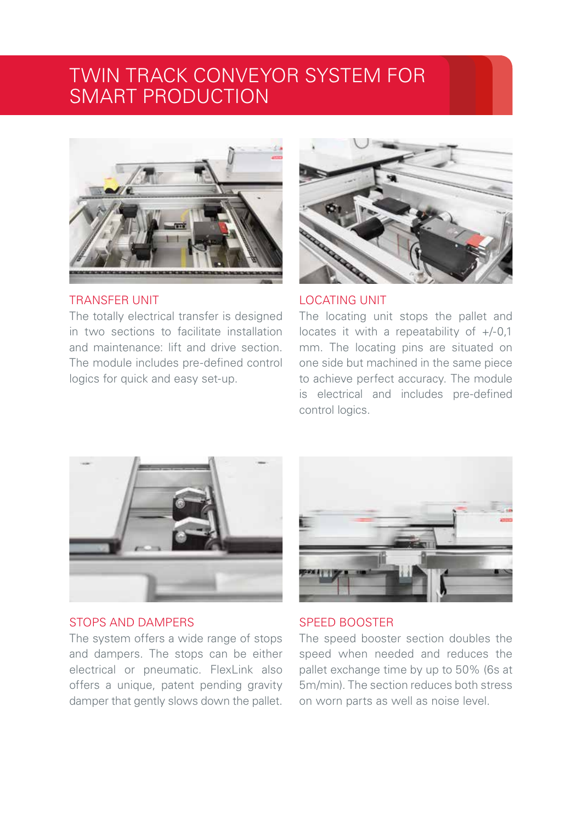# TWIN TRACK CONVEYOR SYSTEM FOR SMART PRODUCTION



### TRANSFER UNIT

The totally electrical transfer is designed in two sections to facilitate installation and maintenance: lift and drive section. The module includes pre-defined control logics for quick and easy set-up.



LOCATING UNIT

The locating unit stops the pallet and locates it with a repeatability of +/-0,1 mm. The locating pins are situated on one side but machined in the same piece to achieve perfect accuracy. The module is electrical and includes pre-defined control logics.



### STOPS AND DAMPERS

The system offers a wide range of stops and dampers. The stops can be either electrical or pneumatic. FlexLink also offers a unique, patent pending gravity damper that gently slows down the pallet.



### SPEED BOOSTER

The speed booster section doubles the speed when needed and reduces the pallet exchange time by up to 50% (6s at 5m/min). The section reduces both stress on worn parts as well as noise level.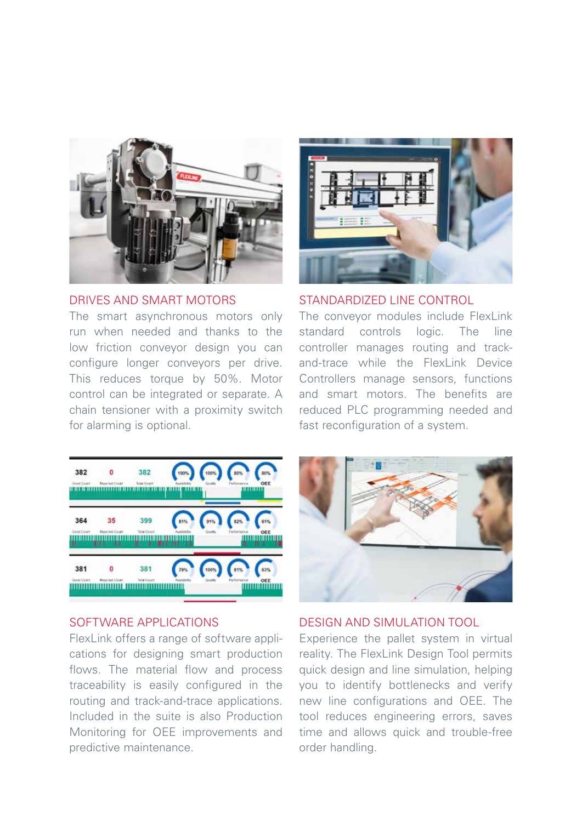

### DRIVES AND SMART MOTORS

The smart asynchronous motors only run when needed and thanks to the low friction conveyor design you can configure longer conveyors per drive. This reduces torque by 50%. Motor control can be integrated or separate. A chain tensioner with a proximity switch for alarming is optional.



### STANDARDIZED LINE CONTROL

The conveyor modules include FlexLink standard controls logic. The line controller manages routing and trackand-trace while the FlexLink Device Controllers manage sensors, functions and smart motors. The benefits are reduced PLC programming needed and fast reconfiguration of a system.



### SOFTWARE APPLICATIONS

FlexLink offers a range of software applications for designing smart production flows. The material flow and process traceability is easily configured in the routing and track-and-trace applications. Included in the suite is also Production Monitoring for OEE improvements and predictive maintenance.



### DESIGN AND SIMULATION TOOL

Experience the pallet system in virtual reality. The FlexLink Design Tool permits quick design and line simulation, helping you to identify bottlenecks and verify new line configurations and OEE. The tool reduces engineering errors, saves time and allows quick and trouble-free order handling.